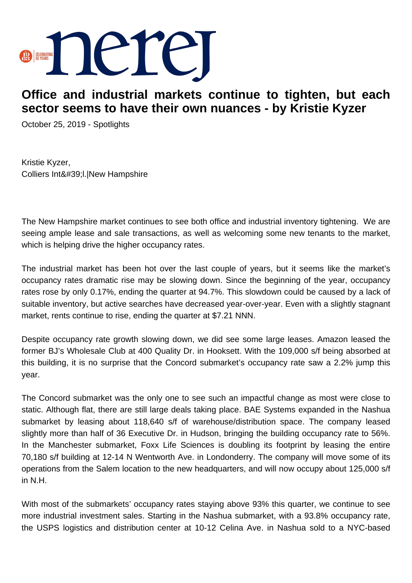

## **Office and industrial markets continue to tighten, but each sector seems to have their own nuances - by Kristie Kyzer**

October 25, 2019 - Spotlights

Kristie Kyzer, Colliers Int&#39:I.|New Hampshire

The New Hampshire market continues to see both office and industrial inventory tightening. We are seeing ample lease and sale transactions, as well as welcoming some new tenants to the market, which is helping drive the higher occupancy rates.

The industrial market has been hot over the last couple of years, but it seems like the market's occupancy rates dramatic rise may be slowing down. Since the beginning of the year, occupancy rates rose by only 0.17%, ending the quarter at 94.7%. This slowdown could be caused by a lack of suitable inventory, but active searches have decreased year-over-year. Even with a slightly stagnant market, rents continue to rise, ending the quarter at \$7.21 NNN.

Despite occupancy rate growth slowing down, we did see some large leases. Amazon leased the former BJ's Wholesale Club at 400 Quality Dr. in Hooksett. With the 109,000 s/f being absorbed at this building, it is no surprise that the Concord submarket's occupancy rate saw a 2.2% jump this year.

The Concord submarket was the only one to see such an impactful change as most were close to static. Although flat, there are still large deals taking place. BAE Systems expanded in the Nashua submarket by leasing about 118,640 s/f of warehouse/distribution space. The company leased slightly more than half of 36 Executive Dr. in Hudson, bringing the building occupancy rate to 56%. In the Manchester submarket, Foxx Life Sciences is doubling its footprint by leasing the entire 70,180 s/f building at 12-14 N Wentworth Ave. in Londonderry. The company will move some of its operations from the Salem location to the new headquarters, and will now occupy about 125,000 s/f in N.H.

With most of the submarkets' occupancy rates staying above 93% this quarter, we continue to see more industrial investment sales. Starting in the Nashua submarket, with a 93.8% occupancy rate, the USPS logistics and distribution center at 10-12 Celina Ave. in Nashua sold to a NYC-based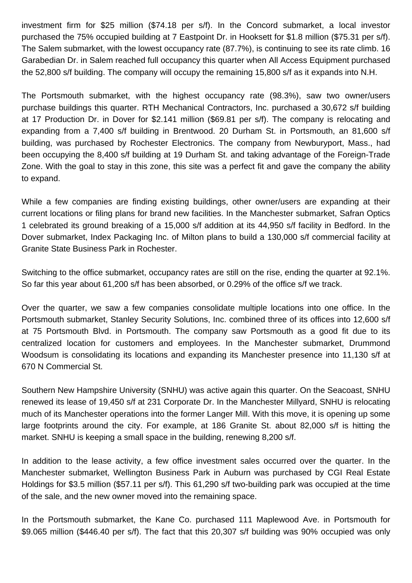investment firm for \$25 million (\$74.18 per s/f). In the Concord submarket, a local investor purchased the 75% occupied building at 7 Eastpoint Dr. in Hooksett for \$1.8 million (\$75.31 per s/f). The Salem submarket, with the lowest occupancy rate (87.7%), is continuing to see its rate climb. 16 Garabedian Dr. in Salem reached full occupancy this quarter when All Access Equipment purchased the 52,800 s/f building. The company will occupy the remaining 15,800 s/f as it expands into N.H.

The Portsmouth submarket, with the highest occupancy rate (98.3%), saw two owner/users purchase buildings this quarter. RTH Mechanical Contractors, Inc. purchased a 30,672 s/f building at 17 Production Dr. in Dover for \$2.141 million (\$69.81 per s/f). The company is relocating and expanding from a 7,400 s/f building in Brentwood. 20 Durham St. in Portsmouth, an 81,600 s/f building, was purchased by Rochester Electronics. The company from Newburyport, Mass., had been occupying the 8,400 s/f building at 19 Durham St. and taking advantage of the Foreign-Trade Zone. With the goal to stay in this zone, this site was a perfect fit and gave the company the ability to expand.

While a few companies are finding existing buildings, other owner/users are expanding at their current locations or filing plans for brand new facilities. In the Manchester submarket, Safran Optics 1 celebrated its ground breaking of a 15,000 s/f addition at its 44,950 s/f facility in Bedford. In the Dover submarket, Index Packaging Inc. of Milton plans to build a 130,000 s/f commercial facility at Granite State Business Park in Rochester.

Switching to the office submarket, occupancy rates are still on the rise, ending the quarter at 92.1%. So far this year about 61,200 s/f has been absorbed, or 0.29% of the office s/f we track.

Over the quarter, we saw a few companies consolidate multiple locations into one office. In the Portsmouth submarket, Stanley Security Solutions, Inc. combined three of its offices into 12,600 s/f at 75 Portsmouth Blvd. in Portsmouth. The company saw Portsmouth as a good fit due to its centralized location for customers and employees. In the Manchester submarket, Drummond Woodsum is consolidating its locations and expanding its Manchester presence into 11,130 s/f at 670 N Commercial St.

Southern New Hampshire University (SNHU) was active again this quarter. On the Seacoast, SNHU renewed its lease of 19,450 s/f at 231 Corporate Dr. In the Manchester Millyard, SNHU is relocating much of its Manchester operations into the former Langer Mill. With this move, it is opening up some large footprints around the city. For example, at 186 Granite St. about 82,000 s/f is hitting the market. SNHU is keeping a small space in the building, renewing 8,200 s/f.

In addition to the lease activity, a few office investment sales occurred over the quarter. In the Manchester submarket, Wellington Business Park in Auburn was purchased by CGI Real Estate Holdings for \$3.5 million (\$57.11 per s/f). This 61,290 s/f two-building park was occupied at the time of the sale, and the new owner moved into the remaining space.

In the Portsmouth submarket, the Kane Co. purchased 111 Maplewood Ave. in Portsmouth for \$9.065 million (\$446.40 per s/f). The fact that this 20,307 s/f building was 90% occupied was only